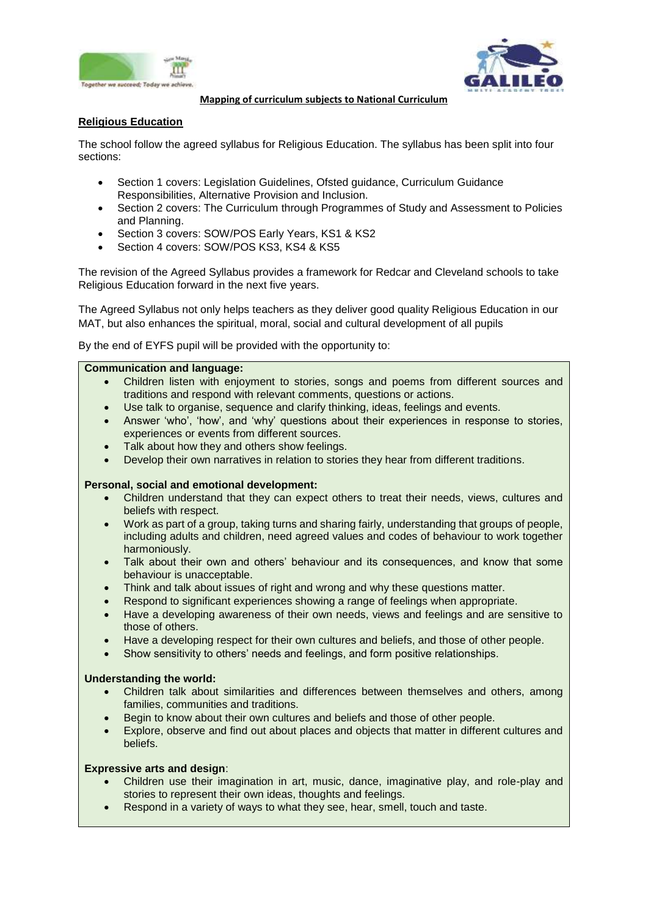



#### **Mapping of curriculum subjects to National Curriculum**

# **Religious Education**

The school follow the agreed syllabus for Religious Education. The syllabus has been split into four sections:

- Section 1 covers: Legislation Guidelines, Ofsted guidance, Curriculum Guidance Responsibilities, Alternative Provision and Inclusion.
- Section 2 covers: The Curriculum through Programmes of Study and Assessment to Policies and Planning.
- Section 3 covers: SOW/POS Early Years, KS1 & KS2
- Section 4 covers: SOW/POS KS3, KS4 & KS5

The revision of the Agreed Syllabus provides a framework for Redcar and Cleveland schools to take Religious Education forward in the next five years.

The Agreed Syllabus not only helps teachers as they deliver good quality Religious Education in our MAT, but also enhances the spiritual, moral, social and cultural development of all pupils

By the end of EYFS pupil will be provided with the opportunity to:

### **Communication and language:**

- Children listen with enjoyment to stories, songs and poems from different sources and traditions and respond with relevant comments, questions or actions.
- Use talk to organise, sequence and clarify thinking, ideas, feelings and events.
- Answer 'who', 'how', and 'why' questions about their experiences in response to stories, experiences or events from different sources.
- Talk about how they and others show feelings.
- Develop their own narratives in relation to stories they hear from different traditions.

### **Personal, social and emotional development:**

- Children understand that they can expect others to treat their needs, views, cultures and beliefs with respect.
- Work as part of a group, taking turns and sharing fairly, understanding that groups of people, including adults and children, need agreed values and codes of behaviour to work together harmoniously.
- Talk about their own and others' behaviour and its consequences, and know that some behaviour is unacceptable.
- Think and talk about issues of right and wrong and why these questions matter.
- Respond to significant experiences showing a range of feelings when appropriate.
- Have a developing awareness of their own needs, views and feelings and are sensitive to those of others.
- Have a developing respect for their own cultures and beliefs, and those of other people.
- Show sensitivity to others' needs and feelings, and form positive relationships.

### **Understanding the world:**

- Children talk about similarities and differences between themselves and others, among families, communities and traditions.
- Begin to know about their own cultures and beliefs and those of other people.
- Explore, observe and find out about places and objects that matter in different cultures and beliefs.

### **Expressive arts and design**:

- Children use their imagination in art, music, dance, imaginative play, and role-play and stories to represent their own ideas, thoughts and feelings.
- Respond in a variety of ways to what they see, hear, smell, touch and taste.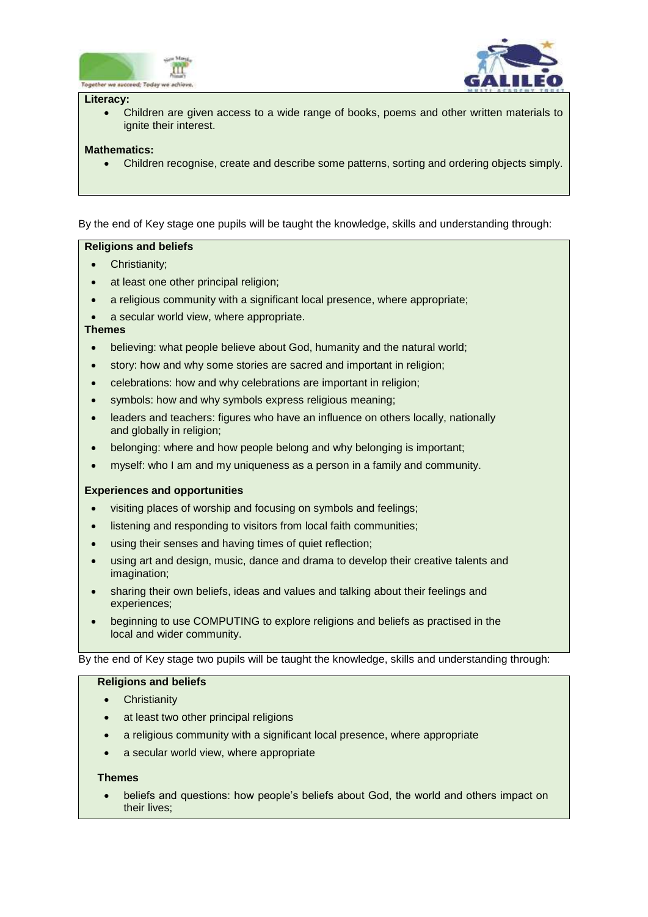



#### **Literacy:**

 Children are given access to a wide range of books, poems and other written materials to ignite their interest.

### **Mathematics:**

Children recognise, create and describe some patterns, sorting and ordering objects simply.

By the end of Key stage one pupils will be taught the knowledge, skills and understanding through:

## **Religions and beliefs**

- Christianity;
- at least one other principal religion;
- a religious community with a significant local presence, where appropriate;
- a secular world view, where appropriate.

### **Themes**

- believing: what people believe about God, humanity and the natural world;
- story: how and why some stories are sacred and important in religion;
- celebrations: how and why celebrations are important in religion;
- symbols: how and why symbols express religious meaning;
- leaders and teachers: figures who have an influence on others locally, nationally and globally in religion;
- belonging: where and how people belong and why belonging is important;
- myself: who I am and my uniqueness as a person in a family and community.

## **Experiences and opportunities**

- visiting places of worship and focusing on symbols and feelings;
- listening and responding to visitors from local faith communities;
- using their senses and having times of quiet reflection;
- using art and design, music, dance and drama to develop their creative talents and imagination;
- sharing their own beliefs, ideas and values and talking about their feelings and experiences;
- beginning to use COMPUTING to explore religions and beliefs as practised in the local and wider community.

By the end of Key stage two pupils will be taught the knowledge, skills and understanding through:

## **Religions and beliefs**

- **Christianity**
- at least two other principal religions
- a religious community with a significant local presence, where appropriate
- a secular world view, where appropriate

## **Themes**

 beliefs and questions: how people's beliefs about God, the world and others impact on their lives;